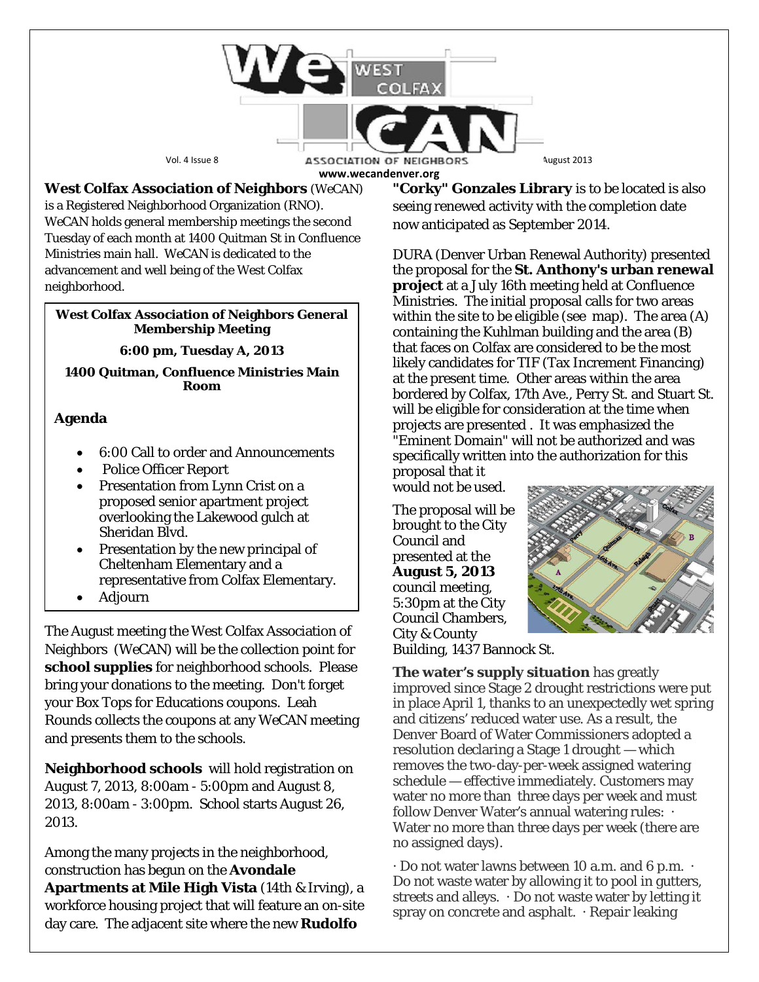

**West Colfax Association of Neighbors** (*WeCAN*) is a Registered Neighborhood Organization (RNO). *WeCAN* holds general membership meetings the second Tuesday of each month at 1400 Quitman St in Confluence Ministries main hall. *WeCAN* is dedicated to the advancement and well being of the West Colfax neighborhood.

#### **West Colfax Association of Neighbors General Membership Meeting**

**6:00 pm, Tuesday A, 2013**

**1400 Quitman, Confluence Ministries Main Room**

## **Agenda**

- 6:00 Call to order and Announcements
- Police Officer Report
- Presentation from Lynn Crist on a proposed senior apartment project overlooking the Lakewood gulch at Sheridan Blvd.
- Presentation by the new principal of Cheltenham Elementary and a representative from Colfax Elementary.
- Adjourn

The August meeting the West Colfax Association of Neighbors (*WeCAN*) will be the collection point for **school supplies** for neighborhood schools. Please bring your donations to the meeting. Don't forget your Box Tops for Educations coupons. Leah Rounds collects the coupons at any *WeCAN* meeting and presents them to the schools.

**Neighborhood schools** will hold registration on August 7, 2013, 8:00am - 5:00pm and August 8, 2013, 8:00am - 3:00pm. School starts August 26, 2013.

Among the many projects in the neighborhood, construction has begun on the **Avondale Apartments at Mile High Vista** (14th & Irving), a workforce housing project that will feature an on-site day care. The adjacent site where the new **Rudolfo**

**"Corky" Gonzales Library** is to be located is also seeing renewed activity with the completion date now anticipated as September 2014.

DURA (Denver Urban Renewal Authority) presented the proposal for the **St. Anthony's urban renewal project** at a July 16th meeting held at Confluence Ministries. The initial proposal calls for two areas within the site to be eligible (see map). The area (A) containing the Kuhlman building and the area (B) that faces on Colfax are considered to be the most likely candidates for TIF (Tax Increment Financing) at the present time. Other areas within the area bordered by Colfax, 17th Ave., Perry St. and Stuart St. will be eligible for consideration at the time when projects are presented . It was emphasized the "Eminent Domain" will not be authorized and was specifically written into the authorization for this

proposal that it would not be used.

The proposal will be brought to the City Council and presented at the **August 5, 2013** council meeting, 5:30pm at the City Council Chambers, City & County Building, 1437 Bannock St.



**The water's supply situation** has greatly improved since Stage 2 drought restrictions were put in place April 1, thanks to an unexpectedly wet spring and citizens' reduced water use. As a result, the Denver Board of Water Commissioners adopted a resolution declaring a Stage 1 drought — which removes the two-day-per-week assigned watering schedule — effective immediately. Customers may water no more than three days per week and must follow Denver Water's annual watering rules: · Water no more than three days per week (there are no assigned days).

· Do not water lawns between 10 a.m. and 6 p.m. · Do not waste water by allowing it to pool in gutters, streets and alleys. · Do not waste water by letting it spray on concrete and asphalt. · Repair leaking